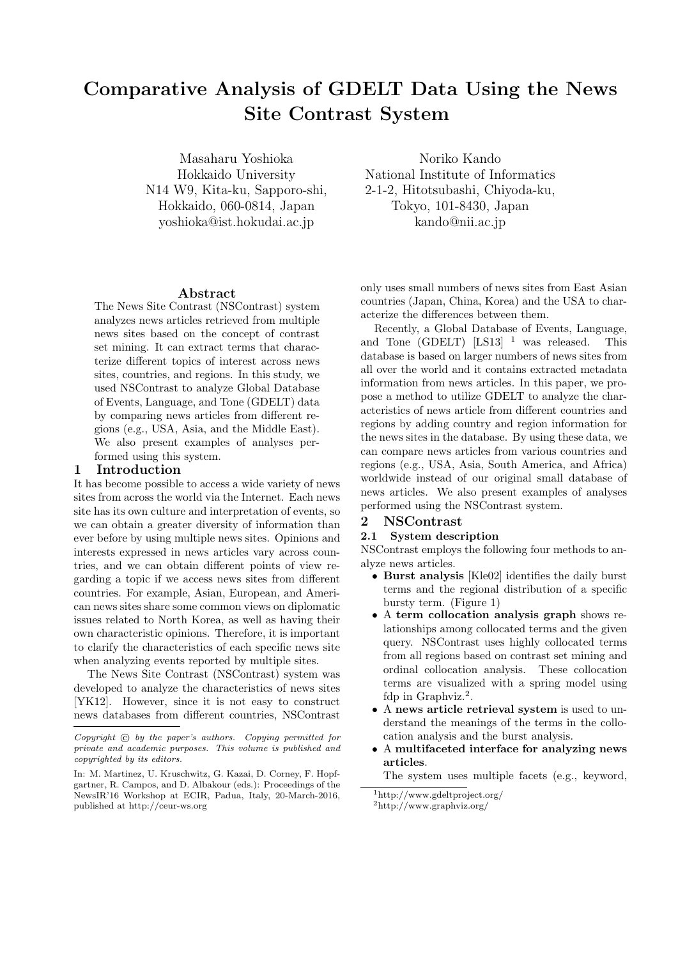# **Comparative Analysis of GDELT Data Using the News Site Contrast System**

Masaharu Yoshioka Hokkaido University N14 W9, Kita-ku, Sapporo-shi, Hokkaido, 060-0814, Japan yoshioka@ist.hokudai.ac.jp

**Abstract**

The News Site Contrast (NSContrast) system analyzes news articles retrieved from multiple news sites based on the concept of contrast set mining. It can extract terms that characterize different topics of interest across news sites, countries, and regions. In this study, we used NSContrast to analyze Global Database of Events, Language, and Tone (GDELT) data by comparing news articles from different regions (e.g., USA, Asia, and the Middle East). We also present examples of analyses performed using this system.

#### **1 Introduction**

It has become possible to access a wide variety of news sites from across the world via the Internet. Each news site has its own culture and interpretation of events, so we can obtain a greater diversity of information than ever before by using multiple news sites. Opinions and interests expressed in news articles vary across countries, and we can obtain different points of view regarding a topic if we access news sites from different countries. For example, Asian, European, and American news sites share some common views on diplomatic issues related to North Korea, as well as having their own characteristic opinions. Therefore, it is important to clarify the characteristics of each specific news site when analyzing events reported by multiple sites.

The News Site Contrast (NSContrast) system was developed to analyze the characteristics of news sites [YK12]. However, since it is not easy to construct news databases from different countries, NSContrast

Noriko Kando National Institute of Informatics 2-1-2, Hitotsubashi, Chiyoda-ku, Tokyo, 101-8430, Japan kando@nii.ac.jp

only uses small numbers of news sites from East Asian countries (Japan, China, Korea) and the USA to characterize the differences between them.

Recently, a Global Database of Events, Language, and Tone (GDELT)  $[LS13]$  <sup>1</sup> was released. This database is based on larger numbers of news sites from all over the world and it contains extracted metadata information from news articles. In this paper, we propose a method to utilize GDELT to analyze the characteristics of news article from different countries and regions by adding country and region information for the news sites in the database. By using these data, we can compare news articles from various countries and regions (e.g., USA, Asia, South America, and Africa) worldwide instead of our original small database of news articles. We also present examples of analyses performed using the NSContrast system.

#### **2 NSContrast**

#### **2.1 System description**

NSContrast employs the following four methods to analyze news articles.

- *•* **Burst analysis** [Kle02] identifies the daily burst terms and the regional distribution of a specific bursty term. (Figure 1)
- *•* A **term collocation analysis graph** shows relationships among collocated terms and the given query. NSContrast uses highly collocated terms from all regions based on contrast set mining and ordinal collocation analysis. These collocation terms are visualized with a spring model using fdp in Graphviz.<sup>2</sup>.
- *•* A **news article retrieval system** is used to understand the meanings of the terms in the collocation analysis and the burst analysis.
- *•* A **multifaceted interface for analyzing news articles**.

The system uses multiple facets (e.g., keyword,

*Copyright*  $\odot$  *by the paper's authors. Copying permitted for private and academic purposes. This volume is published and copyrighted by its editors.*

In: M. Martinez, U. Kruschwitz, G. Kazai, D. Corney, F. Hopfgartner, R. Campos, and D. Albakour (eds.): Proceedings of the NewsIR'16 Workshop at ECIR, Padua, Italy, 20-March-2016, published at http://ceur-ws.org

<sup>1</sup>http://www.gdeltproject.org/ <sup>2</sup>http://www.graphviz.org/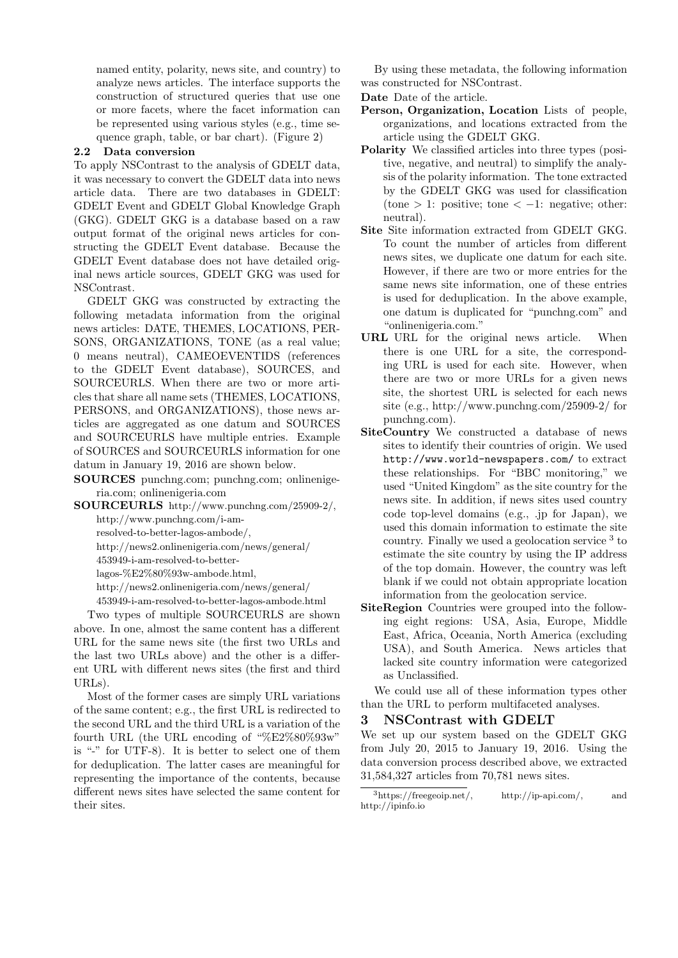named entity, polarity, news site, and country) to analyze news articles. The interface supports the construction of structured queries that use one or more facets, where the facet information can be represented using various styles (e.g., time sequence graph, table, or bar chart). (Figure 2)

#### **2.2 Data conversion**

To apply NSContrast to the analysis of GDELT data, it was necessary to convert the GDELT data into news article data. There are two databases in GDELT: GDELT Event and GDELT Global Knowledge Graph (GKG). GDELT GKG is a database based on a raw output format of the original news articles for constructing the GDELT Event database. Because the GDELT Event database does not have detailed original news article sources, GDELT GKG was used for NSContrast.

GDELT GKG was constructed by extracting the following metadata information from the original news articles: DATE, THEMES, LOCATIONS, PER-SONS, ORGANIZATIONS, TONE (as a real value; 0 means neutral), CAMEOEVENTIDS (references to the GDELT Event database), SOURCES, and SOURCEURLS. When there are two or more articles that share all name sets (THEMES, LOCATIONS, PERSONS, and ORGANIZATIONS), those news articles are aggregated as one datum and SOURCES and SOURCEURLS have multiple entries. Example of SOURCES and SOURCEURLS information for one datum in January 19, 2016 are shown below.

**SOURCES** punchng.com; punchng.com; onlinenigeria.com; onlinenigeria.com

**SOURCEURLS** http://www.punchng.com/25909-2/, http://www.punchng.com/i-am-

resolved-to-better-lagos-ambode/,

http://news2.onlinenigeria.com/news/general/

453949-i-am-resolved-to-better-

lagos-%E2%80%93w-ambode.html,

http://news2.onlinenigeria.com/news/general/

453949-i-am-resolved-to-better-lagos-ambode.html

Two types of multiple SOURCEURLS are shown above. In one, almost the same content has a different URL for the same news site (the first two URLs and the last two URLs above) and the other is a different URL with different news sites (the first and third  $URLs$ 

Most of the former cases are simply URL variations of the same content; e.g., the first URL is redirected to the second URL and the third URL is a variation of the fourth URL (the URL encoding of "%E2%80%93w" is "-" for UTF-8). It is better to select one of them for deduplication. The latter cases are meaningful for representing the importance of the contents, because different news sites have selected the same content for their sites.

By using these metadata, the following information was constructed for NSContrast.

**Date** Date of the article.

- **Person, Organization, Location** Lists of people, organizations, and locations extracted from the article using the GDELT GKG.
- **Polarity** We classified articles into three types (positive, negative, and neutral) to simplify the analysis of the polarity information. The tone extracted by the GDELT GKG was used for classification (tone *>* 1: positive; tone *< −*1: negative; other: neutral).
- **Site** Site information extracted from GDELT GKG. To count the number of articles from different news sites, we duplicate one datum for each site. However, if there are two or more entries for the same news site information, one of these entries is used for deduplication. In the above example, one datum is duplicated for "punchng.com" and "onlinenigeria.com."
- **URL** URL for the original news article. When there is one URL for a site, the corresponding URL is used for each site. However, when there are two or more URLs for a given news site, the shortest URL is selected for each news site (e.g., http://www.punchng.com/25909-2/ for punchng.com).
- **SiteCountry** We constructed a database of news sites to identify their countries of origin. We used http://www.world-newspapers.com/ to extract these relationships. For "BBC monitoring," we used "United Kingdom" as the site country for the news site. In addition, if news sites used country code top-level domains (e.g., .jp for Japan), we used this domain information to estimate the site country. Finally we used a geolocation service <sup>3</sup> to estimate the site country by using the IP address of the top domain. However, the country was left blank if we could not obtain appropriate location information from the geolocation service.
- **SiteRegion** Countries were grouped into the following eight regions: USA, Asia, Europe, Middle East, Africa, Oceania, North America (excluding USA), and South America. News articles that lacked site country information were categorized as Unclassified.

We could use all of these information types other than the URL to perform multifaceted analyses.

### **3 NSContrast with GDELT**

We set up our system based on the GDELT GKG from July 20, 2015 to January 19, 2016. Using the data conversion process described above, we extracted 31,584,327 articles from 70,781 news sites.

 $3$ https://freegeoip.net/, http://ip-api.com/, and http://ipinfo.io